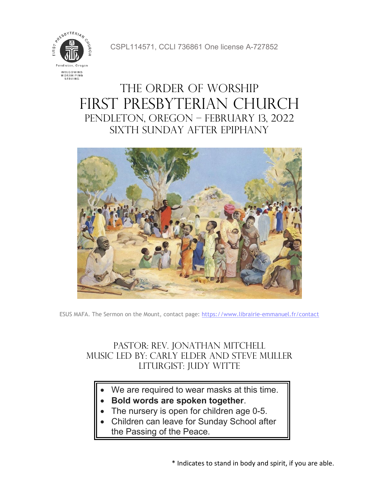

CSPL114571, CCLI 736861 One license A-727852

# The Order of Worship FIRST PRESBYTERIAN CHURCH Pendleton, Oregon – February 13, 2022 sixth Sunday after Epiphany



ESUS MAFA. The Sermon on the Mount, contact page:<https://www.librairie-emmanuel.fr/contact>

### Pastor: Rev. Jonathan Mitchell Music Led by: Carly Elder and Steve muller LITURGIST: JUDY WITTE

- We are required to wear masks at this time.
- **Bold words are spoken together**.
- The nursery is open for children age 0-5.
- Children can leave for Sunday School after the Passing of the Peace.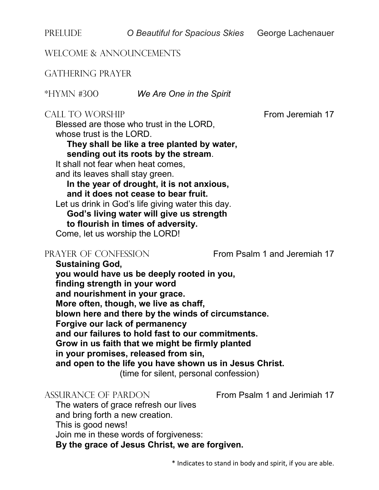PRELUDE *O Beautiful for Spacious Skies* George Lachenauer

WELCOME & ANNOUNCEMENTS

GATHERING PRAYER

\*HYMN #300 *We Are One in the Spirit*

#### CALL TO WORSHIP **From Jeremiah 17**

Blessed are those who trust in the LORD, whose trust is the LORD.

### **They shall be like a tree planted by water, sending out its roots by the stream**.

It shall not fear when heat comes.

and its leaves shall stay green.

**In the year of drought, it is not anxious, and it does not cease to bear fruit.**

Let us drink in God's life giving water this day.

**God's living water will give us strength** 

**to flourish in times of adversity.**

Come, let us worship the LORD!

PRAYER OF CONFESSION From Psalm 1 and Jeremiah 17

**Sustaining God, you would have us be deeply rooted in you, finding strength in your word and nourishment in your grace. More often, though, we live as chaff, blown here and there by the winds of circumstance. Forgive our lack of permanency and our failures to hold fast to our commitments. Grow in us faith that we might be firmly planted in your promises, released from sin, and open to the life you have shown us in Jesus Christ.** (time for silent, personal confession)

ASSURANCE OF PARDON From Psalm 1 and Jerimiah 17

The waters of grace refresh our lives and bring forth a new creation.

This is good news!

Join me in these words of forgiveness:

**By the grace of Jesus Christ, we are forgiven.**

\* Indicates to stand in body and spirit, if you are able.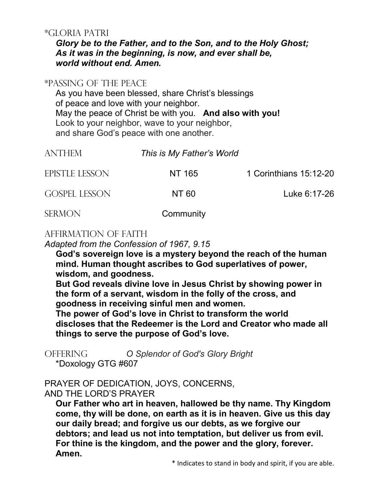#### \*GLORIA PATRI

*Glory be to the Father, and to the Son, and to the Holy Ghost; As it was in the beginning, is now, and ever shall be, world without end. Amen.*

#### \*PASSING OF THE PEACE

As you have been blessed, share Christ's blessings of peace and love with your neighbor. May the peace of Christ be with you. **And also with you!** Look to your neighbor, wave to your neighbor, and share God's peace with one another.

| <b>ANTHEM</b>        | This is My Father's World |                        |
|----------------------|---------------------------|------------------------|
| EPISTLE LESSON       | NT 165                    | 1 Corinthians 15:12-20 |
| <b>GOSPEL LESSON</b> | NT 60                     | Luke 6:17-26           |
| <b>SERMON</b>        | Community                 |                        |

#### AFFIRMATION OF FAITH

*Adapted from the Confession of 1967, 9.15*

**God's sovereign love is a mystery beyond the reach of the human mind. Human thought ascribes to God superlatives of power, wisdom, and goodness.**

**But God reveals divine love in Jesus Christ by showing power in the form of a servant, wisdom in the folly of the cross, and goodness in receiving sinful men and women.**

**The power of God's love in Christ to transform the world discloses that the Redeemer is the Lord and Creator who made all things to serve the purpose of God's love.**

OFFERING *O Splendor of God's Glory Bright* \*Doxology GTG #607

#### PRAYER OF DEDICATION, JOYS, CONCERNS, AND THE LORD'S PRAYER

**Our Father who art in heaven, hallowed be thy name. Thy Kingdom come, thy will be done, on earth as it is in heaven. Give us this day our daily bread; and forgive us our debts, as we forgive our debtors; and lead us not into temptation, but deliver us from evil. For thine is the kingdom, and the power and the glory, forever. Amen.**

\* Indicates to stand in body and spirit, if you are able.